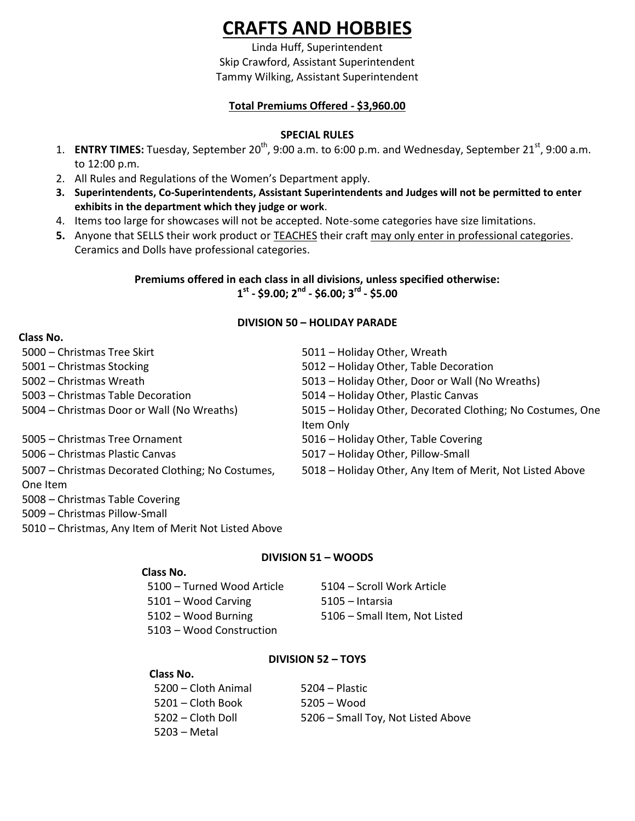# **CRAFTS AND HOBBIES**

Linda Huff, Superintendent Skip Crawford, Assistant Superintendent Tammy Wilking, Assistant Superintendent

# **Total Premiums Offered - \$3,960.00**

# **SPECIAL RULES**

- 1. **ENTRY TIMES:** Tuesday, September 20<sup>th</sup>, 9:00 a.m. to 6:00 p.m. and Wednesday, September 21<sup>st</sup>, 9:00 a.m. to 12:00 p.m.
- 2. All Rules and Regulations of the Women's Department apply.
- **3. Superintendents, Co-Superintendents, Assistant Superintendents and Judges will not be permitted to enter exhibits in the department which they judge or work**.
- 4. Items too large for showcases will not be accepted. Note-some categories have size limitations.
- **5.** Anyone that SELLS their work product or **TEACHES** their craft may only enter in professional categories. Ceramics and Dolls have professional categories.

# **Premiums offered in each class in all divisions, unless specified otherwise: 1 st - \$9.00; 2nd - \$6.00; 3rd - \$5.00**

# **DIVISION 50 – HOLIDAY PARADE**

## **Class No.**

| 5000 - Christmas Tree Skirt                       | 5011 - Holiday Other, Wreath                               |
|---------------------------------------------------|------------------------------------------------------------|
| 5001 - Christmas Stocking                         | 5012 - Holiday Other, Table Decoration                     |
| 5002 - Christmas Wreath                           | 5013 - Holiday Other, Door or Wall (No Wreaths)            |
| 5003 – Christmas Table Decoration                 | 5014 - Holiday Other, Plastic Canvas                       |
| 5004 - Christmas Door or Wall (No Wreaths)        | 5015 - Holiday Other, Decorated Clothing; No Costumes, One |
|                                                   | Item Only                                                  |
| 5005 – Christmas Tree Ornament                    | 5016 - Holiday Other, Table Covering                       |
| 5006 – Christmas Plastic Canvas                   | 5017 - Holiday Other, Pillow-Small                         |
| 5007 - Christmas Decorated Clothing; No Costumes, | 5018 - Holiday Other, Any Item of Merit, Not Listed Above  |
| One Item                                          |                                                            |
| 5008 - Christmas Table Covering                   |                                                            |

- 5009 Christmas Pillow-Small
- 5010 Christmas, Any Item of Merit Not Listed Above

## **DIVISION 51 – WOODS**

## **Class No.**

| 5100 – Turned Wood Article | 5104 – Scroll Work Article    |
|----------------------------|-------------------------------|
| 5101 – Wood Carving        | 5105 – Intarsia               |
| 5102 – Wood Burning        | 5106 - Small Item, Not Listed |
| 5103 – Wood Construction   |                               |

## **DIVISION 52 – TOYS**

## **Class No.**

– Cloth Animal 5204 – Plastic – Cloth Book 5205 – Wood – Cloth Doll 5206 – Small Toy, Not Listed Above 5203 – Metal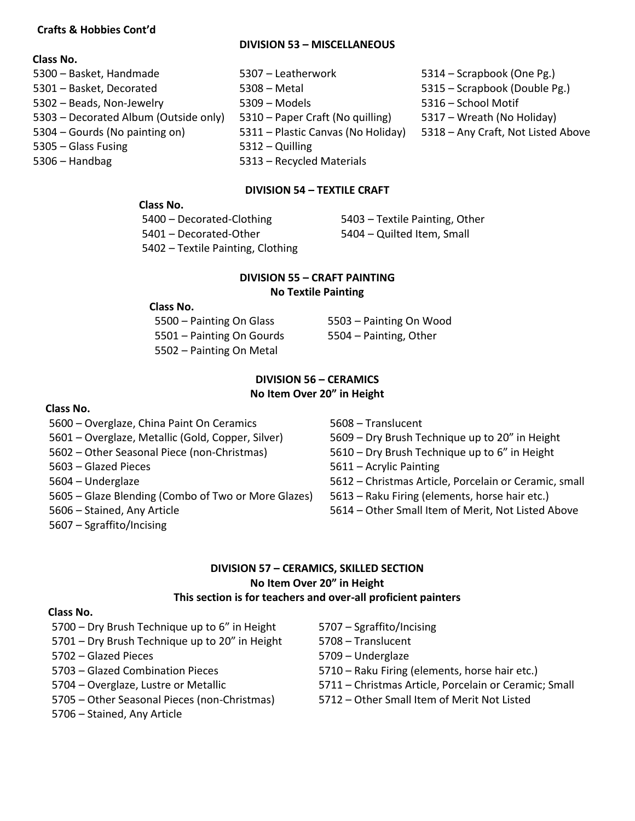#### **Crafts & Hobbies Cont'd**

#### **DIVISION 53 – MISCELLANEOUS**

## **Class No.**

- Basket, Handmade 5307 Leatherwork 5314 Scrapbook (One Pg.) – Basket, Decorated 5308 – Metal 5315 – Scrapbook (Double Pg.) – Beads, Non-Jewelry 5309 – Models 5316 – School Motif – Decorated Album (Outside only) 5310 – Paper Craft (No quilling) 5317 – Wreath (No Holiday) – Gourds (No painting on) 5311 – Plastic Canvas (No Holiday) 5318 – Any Craft, Not Listed Above – Glass Fusing 5312 – Quilling – Handbag 5313 – Recycled Materials
	-
	-
	-
	-
	-
- 
- 
- 
- 
- 

## **DIVISION 54 – TEXTILE CRAFT**

#### **Class No.**

– Decorated-Clothing 5403 – Textile Painting, Other – Decorated-Other 5404 – Quilted Item, Small – Textile Painting, Clothing

## **DIVISION 55 – CRAFT PAINTING No Textile Painting**

#### **Class No.**

– Painting On Glass 5503 – Painting On Wood – Painting On Gourds 5504 – Painting, Other – Painting On Metal

# **DIVISION 56 – CERAMICS No Item Over 20" in Height**

#### **Class No.**

- Overglaze, China Paint On Ceramics 5608 Translucent
- 
- 
- 
- 
- Glaze Blending (Combo of Two or More Glazes) 5613 Raku Firing (elements, horse hair etc.)
- 
- Sgraffito/Incising

- Overglaze, Metallic (Gold, Copper, Silver) 5609 Dry Brush Technique up to 20" in Height
- Other Seasonal Piece (non-Christmas) 5610 Dry Brush Technique up to 6" in Height
- Glazed Pieces 5611 Acrylic Painting
- Underglaze 5612 Christmas Article, Porcelain or Ceramic, small
	-
- Stained, Any Article 5614 Other Small Item of Merit, Not Listed Above

## **DIVISION 57 – CERAMICS, SKILLED SECTION No Item Over 20" in Height This section is for teachers and over-all proficient painters**

#### **Class No.**

- Dry Brush Technique up to 6" in Height 5707 Sgraffito/Incising
- Dry Brush Technique up to 20" in Height 5708 Translucent
- Glazed Pieces 5709 Underglaze
- 
- 
- Other Seasonal Pieces (non-Christmas) 5712 Other Small Item of Merit Not Listed
- Stained, Any Article
- 
- 
- 
- Glazed Combination Pieces 5710 Raku Firing (elements, horse hair etc.)
- Overglaze, Lustre or Metallic 5711 Christmas Article, Porcelain or Ceramic; Small
	-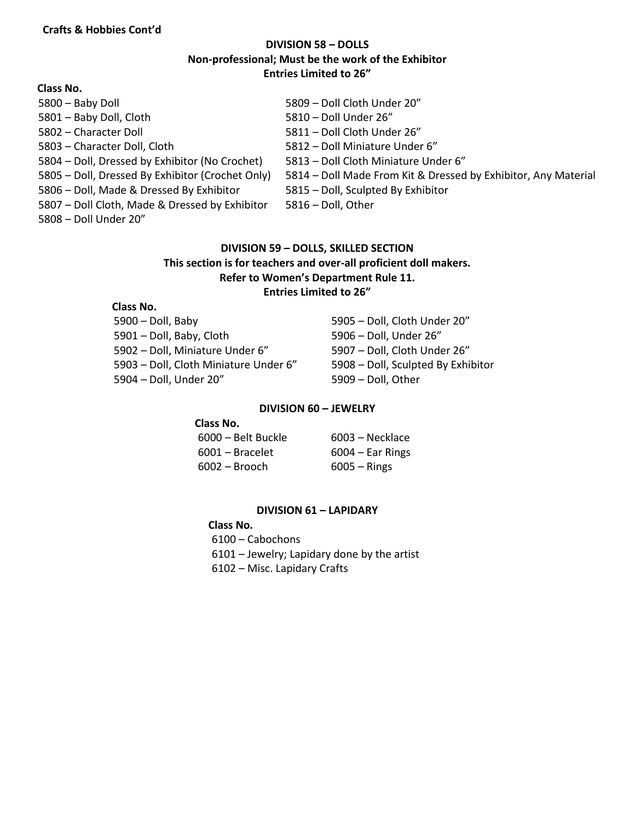# **DIVISION 58 – DOLLS Non-professional; Must be the work of the Exhibitor Entries Limited to 26"**

| Class No.                                        |                                                                |
|--------------------------------------------------|----------------------------------------------------------------|
| 5800 - Baby Doll                                 | 5809 - Doll Cloth Under 20"                                    |
| 5801 - Baby Doll, Cloth                          | 5810 - Doll Under 26"                                          |
| 5802 - Character Doll                            | 5811 - Doll Cloth Under 26"                                    |
| 5803 - Character Doll, Cloth                     | 5812 – Doll Miniature Under 6"                                 |
| 5804 - Doll, Dressed by Exhibitor (No Crochet)   | 5813 - Doll Cloth Miniature Under 6"                           |
| 5805 - Doll, Dressed By Exhibitor (Crochet Only) | 5814 - Doll Made From Kit & Dressed by Exhibitor, Any Material |
| 5806 - Doll, Made & Dressed By Exhibitor         | 5815 - Doll, Sculpted By Exhibitor                             |
| 5807 - Doll Cloth, Made & Dressed by Exhibitor   | 5816 - Doll, Other                                             |
| 5808 - Doll Under 20"                            |                                                                |

## **DIVISION 59 – DOLLS, SKILLED SECTION This section is for teachers and over-all proficient doll makers. Refer to Women's Department Rule 11. Entries Limited to 26"**

## **Class No.**

| $5900 -$ Doll, Baby                   | $5905 -$ Doll |
|---------------------------------------|---------------|
| 5901 - Doll, Baby, Cloth              | $5906 - DolI$ |
| 5902 - Doll, Miniature Under 6"       | $5907 - DolI$ |
| 5903 - Doll, Cloth Miniature Under 6" | $5908 - DolI$ |
| 5904 - Doll, Under 20"                | $5909 - Doll$ |

l, Cloth Under 20" l, Under 26" l, Cloth Under 26" l, Sculpted By Exhibitor l, Other

#### **DIVISION 60 – JEWELRY**

### **Class No.**

| 6000 – Belt Buckle | 6003 – Necklace    |
|--------------------|--------------------|
| $6001 -$ Bracelet  | $6004 -$ Ear Rings |
| $6002 - B$ rooch   | $6005 -$ Rings     |

#### **DIVISION 61 – LAPIDARY**

 **Class No.**  – Cabochons – Jewelry; Lapidary done by the artist – Misc. Lapidary Crafts